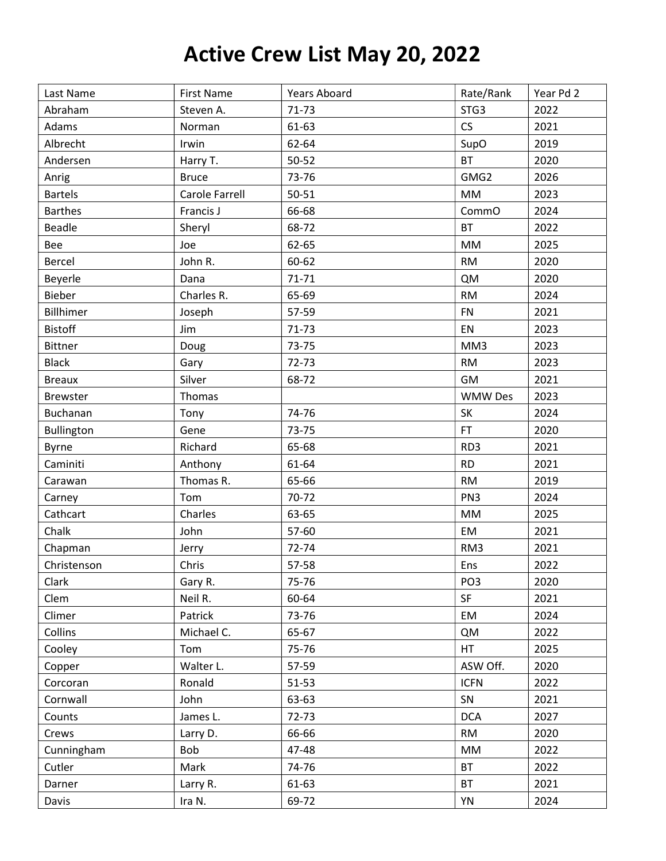## Active Crew List May 20, 2022

| Last Name       | <b>First Name</b> | <b>Years Aboard</b> | Rate/Rank       | Year Pd 2 |
|-----------------|-------------------|---------------------|-----------------|-----------|
| Abraham         | Steven A.         | $71-73$             | STG3            | 2022      |
| Adams           | Norman            | 61-63               | <b>CS</b>       | 2021      |
| Albrecht        | Irwin             | 62-64               | SupO            | 2019      |
| Andersen        | Harry T.          | 50-52               | <b>BT</b>       | 2020      |
| Anrig           | <b>Bruce</b>      | 73-76               | GMG2            | 2026      |
| <b>Bartels</b>  | Carole Farrell    | $50 - 51$           | MM              | 2023      |
| <b>Barthes</b>  | Francis J         | 66-68               | CommO           | 2024      |
| <b>Beadle</b>   | Sheryl            | 68-72               | <b>BT</b>       | 2022      |
| Bee             | Joe               | 62-65               | MM              | 2025      |
| <b>Bercel</b>   | John R.           | 60-62               | <b>RM</b>       | 2020      |
| Beyerle         | Dana              | $71 - 71$           | <b>QM</b>       | 2020      |
| Bieber          | Charles R.        | 65-69               | <b>RM</b>       | 2024      |
| Billhimer       | Joseph            | 57-59               | <b>FN</b>       | 2021      |
| <b>Bistoff</b>  | Jim               | $71 - 73$           | EN              | 2023      |
| <b>Bittner</b>  | Doug              | 73-75               | MM3             | 2023      |
| <b>Black</b>    | Gary              | 72-73               | <b>RM</b>       | 2023      |
| <b>Breaux</b>   | Silver            | 68-72               | GM              | 2021      |
| <b>Brewster</b> | Thomas            |                     | <b>WMW Des</b>  | 2023      |
| Buchanan        | Tony              | 74-76               | SK              | 2024      |
| Bullington      | Gene              | 73-75               | <b>FT</b>       | 2020      |
| <b>Byrne</b>    | Richard           | 65-68               | RD3             | 2021      |
| Caminiti        | Anthony           | 61-64               | <b>RD</b>       | 2021      |
| Carawan         | Thomas R.         | 65-66               | <b>RM</b>       | 2019      |
| Carney          | Tom               | 70-72               | PN <sub>3</sub> | 2024      |
| Cathcart        | Charles           | 63-65               | MM              | 2025      |
| Chalk           | John              | 57-60               | EM              | 2021      |
| Chapman         | Jerry             | 72-74               | RM3             | 2021      |
| Christenson     | Chris             | 57-58               | Ens             | 2022      |
| Clark           | Gary R.           | 75-76               | PO <sub>3</sub> | 2020      |
| Clem            | Neil R.           | 60-64               | SF              | 2021      |
| Climer          | Patrick           | 73-76               | EM              | 2024      |
| Collins         | Michael C.        | 65-67               | <b>QM</b>       | 2022      |
| Cooley          | Tom               | 75-76               | HT.             | 2025      |
| Copper          | Walter L.         | 57-59               | ASW Off.        | 2020      |
| Corcoran        | Ronald            | 51-53               | <b>ICFN</b>     | 2022      |
| Cornwall        | John              | 63-63               | SN              | 2021      |
| Counts          | James L.          | 72-73               | <b>DCA</b>      | 2027      |
| Crews           | Larry D.          | 66-66               | <b>RM</b>       | 2020      |
| Cunningham      | Bob               | 47-48               | $\mathsf{MM}$   | 2022      |
| Cutler          | Mark              | 74-76               | <b>BT</b>       | 2022      |
| Darner          | Larry R.          | 61-63               | <b>BT</b>       | 2021      |
| Davis           | Ira N.            | 69-72               | YN              | 2024      |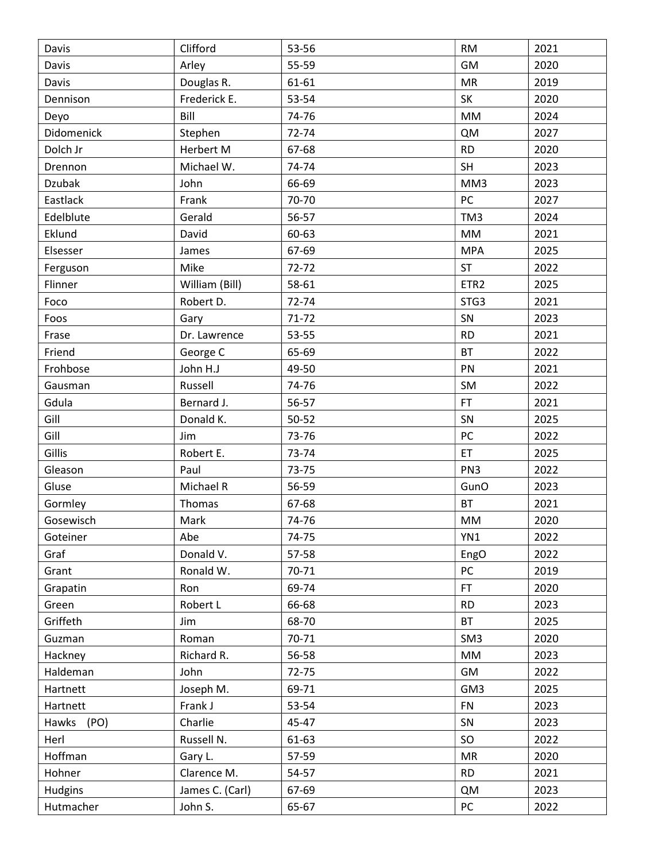| Davis         | Clifford        | 53-56 | <b>RM</b>        | 2021 |
|---------------|-----------------|-------|------------------|------|
| Davis         | Arley           | 55-59 | GM               | 2020 |
| Davis         | Douglas R.      | 61-61 | <b>MR</b>        | 2019 |
| Dennison      | Frederick E.    | 53-54 | SK               | 2020 |
| Deyo          | Bill            | 74-76 | <b>MM</b>        | 2024 |
| Didomenick    | Stephen         | 72-74 | <b>QM</b>        | 2027 |
| Dolch Jr      | Herbert M       | 67-68 | <b>RD</b>        | 2020 |
| Drennon       | Michael W.      | 74-74 | SH               | 2023 |
| <b>Dzubak</b> | John            | 66-69 | MM3              | 2023 |
| Eastlack      | Frank           | 70-70 | PC               | 2027 |
| Edelblute     | Gerald          | 56-57 | TM3              | 2024 |
| Eklund        | David           | 60-63 | MM               | 2021 |
| Elsesser      | James           | 67-69 | <b>MPA</b>       | 2025 |
| Ferguson      | Mike            | 72-72 | <b>ST</b>        | 2022 |
| Flinner       | William (Bill)  | 58-61 | ETR <sub>2</sub> | 2025 |
| Foco          | Robert D.       | 72-74 | STG3             | 2021 |
| Foos          | Gary            | 71-72 | SN               | 2023 |
| Frase         | Dr. Lawrence    | 53-55 | <b>RD</b>        | 2021 |
| Friend        | George C        | 65-69 | <b>BT</b>        | 2022 |
| Frohbose      | John H.J        | 49-50 | PN               | 2021 |
| Gausman       | Russell         | 74-76 | SM               | 2022 |
| Gdula         | Bernard J.      | 56-57 | <b>FT</b>        | 2021 |
| Gill          | Donald K.       | 50-52 | SN               | 2025 |
| Gill          | Jim             | 73-76 | PC               | 2022 |
| Gillis        | Robert E.       | 73-74 | ET               | 2025 |
| Gleason       | Paul            | 73-75 | PN <sub>3</sub>  | 2022 |
| Gluse         | Michael R       | 56-59 | GunO             | 2023 |
| Gormley       | Thomas          | 67-68 | <b>BT</b>        | 2021 |
| Gosewisch     | Mark            | 74-76 | MM               | 2020 |
| Goteiner      | Abe             | 74-75 | YN1              | 2022 |
| Graf          | Donald V.       | 57-58 | EngO             | 2022 |
| Grant         | Ronald W.       | 70-71 | PC               | 2019 |
| Grapatin      | Ron             | 69-74 | FT.              | 2020 |
| Green         | Robert L        | 66-68 | <b>RD</b>        | 2023 |
| Griffeth      | Jim             | 68-70 | <b>BT</b>        | 2025 |
| Guzman        | Roman           | 70-71 | SM <sub>3</sub>  | 2020 |
| Hackney       | Richard R.      | 56-58 | $\mathsf{MM}$    | 2023 |
| Haldeman      | John            | 72-75 | GM               | 2022 |
| Hartnett      | Joseph M.       | 69-71 | GM3              | 2025 |
| Hartnett      | Frank J         | 53-54 | <b>FN</b>        | 2023 |
| (PO)<br>Hawks | Charlie         | 45-47 | SN               | 2023 |
| Herl          | Russell N.      | 61-63 | SO               | 2022 |
| Hoffman       | Gary L.         | 57-59 | MR               | 2020 |
| Hohner        | Clarence M.     | 54-57 | <b>RD</b>        | 2021 |
| Hudgins       | James C. (Carl) | 67-69 | <b>QM</b>        | 2023 |
| Hutmacher     | John S.         | 65-67 | PC               | 2022 |
|               |                 |       |                  |      |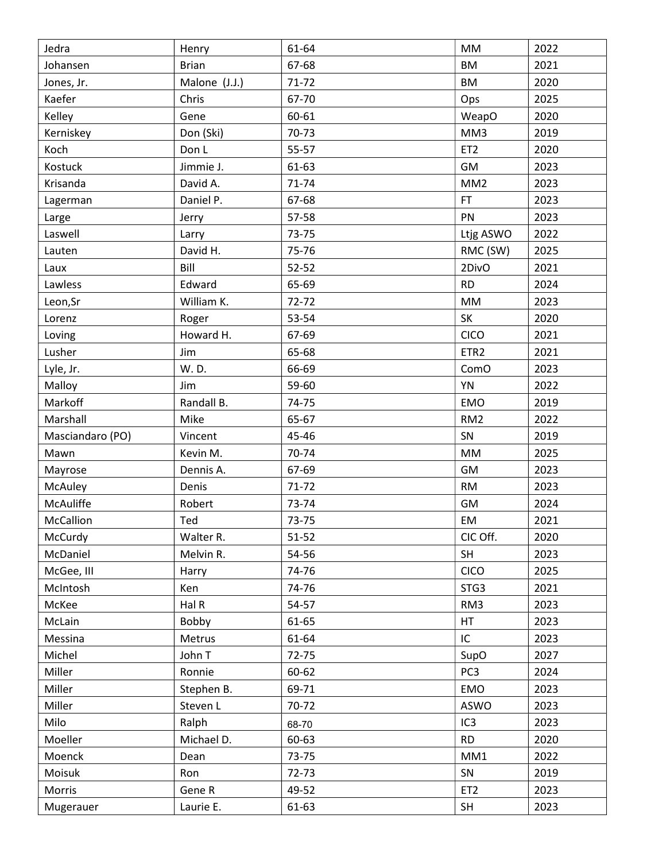| Jedra            | Henry         | 61-64     | MM               | 2022 |
|------------------|---------------|-----------|------------------|------|
| Johansen         | <b>Brian</b>  | 67-68     | <b>BM</b>        | 2021 |
| Jones, Jr.       | Malone (J.J.) | $71 - 72$ | <b>BM</b>        | 2020 |
| Kaefer           | Chris         | 67-70     | Ops              | 2025 |
| Kelley           | Gene          | 60-61     | WeapO            | 2020 |
| Kerniskey        | Don (Ski)     | 70-73     | MM3              | 2019 |
| Koch             | Don L         | 55-57     | ET <sub>2</sub>  | 2020 |
| Kostuck          | Jimmie J.     | 61-63     | GM               | 2023 |
| Krisanda         | David A.      | 71-74     | MM <sub>2</sub>  | 2023 |
| Lagerman         | Daniel P.     | 67-68     | FT               | 2023 |
| Large            | Jerry         | 57-58     | PN               | 2023 |
| Laswell          | Larry         | 73-75     | Ltjg ASWO        | 2022 |
| Lauten           | David H.      | 75-76     | RMC (SW)         | 2025 |
| Laux             | Bill          | $52 - 52$ | 2DivO            | 2021 |
| Lawless          | Edward        | 65-69     | <b>RD</b>        | 2024 |
| Leon, Sr         | William K.    | $72 - 72$ | <b>MM</b>        | 2023 |
| Lorenz           | Roger         | 53-54     | SK               | 2020 |
| Loving           | Howard H.     | 67-69     | CICO             | 2021 |
| Lusher           | Jim           | 65-68     | ETR <sub>2</sub> | 2021 |
| Lyle, Jr.        | W. D.         | 66-69     | ComO             | 2023 |
| Malloy           | Jim           | 59-60     | YN               | 2022 |
| Markoff          | Randall B.    | 74-75     | <b>EMO</b>       | 2019 |
| Marshall         | Mike          | 65-67     | RM <sub>2</sub>  | 2022 |
| Masciandaro (PO) | Vincent       | 45-46     | SN               | 2019 |
| Mawn             | Kevin M.      | 70-74     | <b>MM</b>        | 2025 |
| Mayrose          | Dennis A.     | 67-69     | GM               | 2023 |
| McAuley          | Denis         | $71 - 72$ | <b>RM</b>        | 2023 |
| McAuliffe        | Robert        | 73-74     | GM               | 2024 |
| McCallion        | Ted           | 73-75     | EM               | 2021 |
| McCurdy          | Walter R.     | $51 - 52$ | CIC Off.         | 2020 |
| McDaniel         | Melvin R.     | 54-56     | SH               | 2023 |
| McGee, III       | Harry         | 74-76     | CICO             | 2025 |
| McIntosh         | Ken           | 74-76     | STG3             | 2021 |
| McKee            | Hal R         | 54-57     | RM3              | 2023 |
| McLain           | Bobby         | 61-65     | HT               | 2023 |
| Messina          | Metrus        | 61-64     | IC               | 2023 |
| Michel           | John T        | $72 - 75$ | SupO             | 2027 |
| Miller           | Ronnie        | 60-62     | PC <sub>3</sub>  | 2024 |
| Miller           | Stephen B.    | 69-71     | EMO              | 2023 |
| Miller           | Steven L      | 70-72     | ASWO             | 2023 |
| Milo             | Ralph         | 68-70     | IC <sub>3</sub>  | 2023 |
| Moeller          | Michael D.    | 60-63     | <b>RD</b>        | 2020 |
| Moenck           | Dean          | 73-75     | MM1              | 2022 |
| Moisuk           | Ron           | 72-73     | SN               | 2019 |
| Morris           | Gene R        | 49-52     | ET <sub>2</sub>  | 2023 |
| Mugerauer        | Laurie E.     | 61-63     | SH               | 2023 |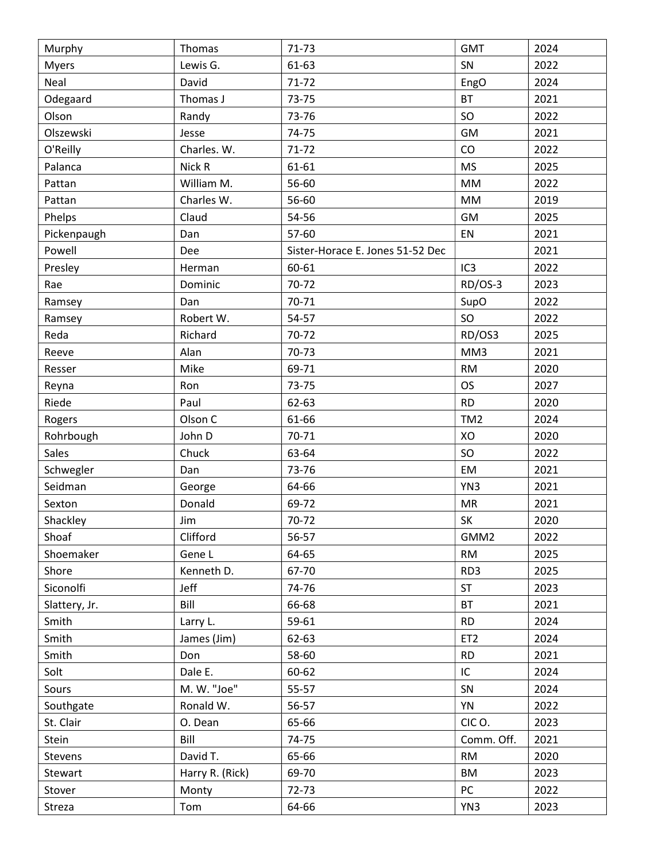| Lewis G.<br>61-63<br>SN<br>2022<br><b>Myers</b><br>Neal<br>David<br>$71 - 72$<br>2024<br>EngO<br>Odegaard<br><b>BT</b><br>Thomas J<br>2021<br>73-75<br>SO<br>2022<br>73-76<br>Olson<br>Randy<br>Olszewski<br>74-75<br>GM<br>2021<br>Jesse<br>Charles. W.<br>71-72<br>CO<br>2022<br>O'Reilly<br>Nick R<br><b>MS</b><br>2025<br>Palanca<br>61-61<br>William M.<br>56-60<br>2022<br>Pattan<br>MM<br>2019<br>Charles W.<br>56-60<br>MM<br>Pattan<br>Claud<br>54-56<br>GM<br>Phelps<br>2025<br>57-60<br>EN<br>2021<br>Pickenpaugh<br>Dan<br>Powell<br>Sister-Horace E. Jones 51-52 Dec<br>2021<br>Dee<br>IC <sub>3</sub><br>2022<br>Presley<br>Herman<br>60-61<br>$70-72$<br>RD/OS-3<br>2023<br>Rae<br>Dominic<br>SupO<br>70-71<br>2022<br>Dan<br>Ramsey<br>2022<br>Robert W.<br>SO<br>54-57<br>Ramsey<br>Richard<br>70-72<br>RD/OS3<br>2025<br>Reda<br>Alan<br>70-73<br>MM3<br>2021<br>Reeve<br>Mike<br>69-71<br><b>RM</b><br>2020<br>Resser<br><b>OS</b><br>2027<br>Ron<br>73-75<br>Reyna<br>2020<br>Riede<br>Paul<br>62-63<br><b>RD</b><br>Olson C<br>2024<br>61-66<br>TM <sub>2</sub><br>Rogers<br>John D<br>70-71<br>XO<br>2020<br>Rohrbough<br><b>Sales</b><br>Chuck<br>SO<br>2022<br>63-64<br>73-76<br>EM<br>2021<br>Schwegler<br>Dan<br>Seidman<br>2021<br>64-66<br>YN3<br>George<br>Donald<br>69-72<br>MR<br>2021<br>Sexton<br>Shackley<br>SK<br>2020<br>70-72<br>Jim<br>Clifford<br>Shoaf<br>56-57<br>GMM2<br>2022<br>Shoemaker<br>64-65<br>2025<br>Gene L<br><b>RM</b><br>Shore<br>Kenneth D.<br>67-70<br>RD3<br>2025<br>Siconolfi<br>Jeff<br><b>ST</b><br>2023<br>74-76<br>Bill<br>66-68<br>2021<br>Slattery, Jr.<br><b>BT</b><br>Smith<br>59-61<br><b>RD</b><br>2024<br>Larry L.<br>2024<br>Smith<br>James (Jim)<br>62-63<br>ET <sub>2</sub><br>Smith<br>Don<br>58-60<br><b>RD</b><br>2021<br>Dale E.<br>IC<br>Solt<br>60-62<br>2024<br>M. W. "Joe"<br>55-57<br>2024<br>SN<br>Sours<br>Southgate<br>Ronald W.<br>56-57<br>YN<br>2022<br>CICO.<br>2023<br>St. Clair<br>O. Dean<br>65-66<br>Bill<br>Stein<br>74-75<br>Comm. Off.<br>2021<br>David T.<br>65-66<br><b>RM</b><br>2020<br>Stevens<br>Harry R. (Rick)<br>69-70<br><b>BM</b><br>2023<br>Stewart<br>PC<br>Monty<br>$72 - 73$<br>2022<br>Stover<br>64-66<br>2023<br>YN3<br>Streza<br>Tom | Murphy | Thomas | $71-73$ | <b>GMT</b> | 2024 |
|--------------------------------------------------------------------------------------------------------------------------------------------------------------------------------------------------------------------------------------------------------------------------------------------------------------------------------------------------------------------------------------------------------------------------------------------------------------------------------------------------------------------------------------------------------------------------------------------------------------------------------------------------------------------------------------------------------------------------------------------------------------------------------------------------------------------------------------------------------------------------------------------------------------------------------------------------------------------------------------------------------------------------------------------------------------------------------------------------------------------------------------------------------------------------------------------------------------------------------------------------------------------------------------------------------------------------------------------------------------------------------------------------------------------------------------------------------------------------------------------------------------------------------------------------------------------------------------------------------------------------------------------------------------------------------------------------------------------------------------------------------------------------------------------------------------------------------------------------------------------------------------------------------------------------------------------------------------------------------------------------------------------------------------------------------------------------------------------------------------------------------------------------------------------------------------------------------------------------------------------------------|--------|--------|---------|------------|------|
|                                                                                                                                                                                                                                                                                                                                                                                                                                                                                                                                                                                                                                                                                                                                                                                                                                                                                                                                                                                                                                                                                                                                                                                                                                                                                                                                                                                                                                                                                                                                                                                                                                                                                                                                                                                                                                                                                                                                                                                                                                                                                                                                                                                                                                                        |        |        |         |            |      |
|                                                                                                                                                                                                                                                                                                                                                                                                                                                                                                                                                                                                                                                                                                                                                                                                                                                                                                                                                                                                                                                                                                                                                                                                                                                                                                                                                                                                                                                                                                                                                                                                                                                                                                                                                                                                                                                                                                                                                                                                                                                                                                                                                                                                                                                        |        |        |         |            |      |
|                                                                                                                                                                                                                                                                                                                                                                                                                                                                                                                                                                                                                                                                                                                                                                                                                                                                                                                                                                                                                                                                                                                                                                                                                                                                                                                                                                                                                                                                                                                                                                                                                                                                                                                                                                                                                                                                                                                                                                                                                                                                                                                                                                                                                                                        |        |        |         |            |      |
|                                                                                                                                                                                                                                                                                                                                                                                                                                                                                                                                                                                                                                                                                                                                                                                                                                                                                                                                                                                                                                                                                                                                                                                                                                                                                                                                                                                                                                                                                                                                                                                                                                                                                                                                                                                                                                                                                                                                                                                                                                                                                                                                                                                                                                                        |        |        |         |            |      |
|                                                                                                                                                                                                                                                                                                                                                                                                                                                                                                                                                                                                                                                                                                                                                                                                                                                                                                                                                                                                                                                                                                                                                                                                                                                                                                                                                                                                                                                                                                                                                                                                                                                                                                                                                                                                                                                                                                                                                                                                                                                                                                                                                                                                                                                        |        |        |         |            |      |
|                                                                                                                                                                                                                                                                                                                                                                                                                                                                                                                                                                                                                                                                                                                                                                                                                                                                                                                                                                                                                                                                                                                                                                                                                                                                                                                                                                                                                                                                                                                                                                                                                                                                                                                                                                                                                                                                                                                                                                                                                                                                                                                                                                                                                                                        |        |        |         |            |      |
|                                                                                                                                                                                                                                                                                                                                                                                                                                                                                                                                                                                                                                                                                                                                                                                                                                                                                                                                                                                                                                                                                                                                                                                                                                                                                                                                                                                                                                                                                                                                                                                                                                                                                                                                                                                                                                                                                                                                                                                                                                                                                                                                                                                                                                                        |        |        |         |            |      |
|                                                                                                                                                                                                                                                                                                                                                                                                                                                                                                                                                                                                                                                                                                                                                                                                                                                                                                                                                                                                                                                                                                                                                                                                                                                                                                                                                                                                                                                                                                                                                                                                                                                                                                                                                                                                                                                                                                                                                                                                                                                                                                                                                                                                                                                        |        |        |         |            |      |
|                                                                                                                                                                                                                                                                                                                                                                                                                                                                                                                                                                                                                                                                                                                                                                                                                                                                                                                                                                                                                                                                                                                                                                                                                                                                                                                                                                                                                                                                                                                                                                                                                                                                                                                                                                                                                                                                                                                                                                                                                                                                                                                                                                                                                                                        |        |        |         |            |      |
|                                                                                                                                                                                                                                                                                                                                                                                                                                                                                                                                                                                                                                                                                                                                                                                                                                                                                                                                                                                                                                                                                                                                                                                                                                                                                                                                                                                                                                                                                                                                                                                                                                                                                                                                                                                                                                                                                                                                                                                                                                                                                                                                                                                                                                                        |        |        |         |            |      |
|                                                                                                                                                                                                                                                                                                                                                                                                                                                                                                                                                                                                                                                                                                                                                                                                                                                                                                                                                                                                                                                                                                                                                                                                                                                                                                                                                                                                                                                                                                                                                                                                                                                                                                                                                                                                                                                                                                                                                                                                                                                                                                                                                                                                                                                        |        |        |         |            |      |
|                                                                                                                                                                                                                                                                                                                                                                                                                                                                                                                                                                                                                                                                                                                                                                                                                                                                                                                                                                                                                                                                                                                                                                                                                                                                                                                                                                                                                                                                                                                                                                                                                                                                                                                                                                                                                                                                                                                                                                                                                                                                                                                                                                                                                                                        |        |        |         |            |      |
|                                                                                                                                                                                                                                                                                                                                                                                                                                                                                                                                                                                                                                                                                                                                                                                                                                                                                                                                                                                                                                                                                                                                                                                                                                                                                                                                                                                                                                                                                                                                                                                                                                                                                                                                                                                                                                                                                                                                                                                                                                                                                                                                                                                                                                                        |        |        |         |            |      |
|                                                                                                                                                                                                                                                                                                                                                                                                                                                                                                                                                                                                                                                                                                                                                                                                                                                                                                                                                                                                                                                                                                                                                                                                                                                                                                                                                                                                                                                                                                                                                                                                                                                                                                                                                                                                                                                                                                                                                                                                                                                                                                                                                                                                                                                        |        |        |         |            |      |
|                                                                                                                                                                                                                                                                                                                                                                                                                                                                                                                                                                                                                                                                                                                                                                                                                                                                                                                                                                                                                                                                                                                                                                                                                                                                                                                                                                                                                                                                                                                                                                                                                                                                                                                                                                                                                                                                                                                                                                                                                                                                                                                                                                                                                                                        |        |        |         |            |      |
|                                                                                                                                                                                                                                                                                                                                                                                                                                                                                                                                                                                                                                                                                                                                                                                                                                                                                                                                                                                                                                                                                                                                                                                                                                                                                                                                                                                                                                                                                                                                                                                                                                                                                                                                                                                                                                                                                                                                                                                                                                                                                                                                                                                                                                                        |        |        |         |            |      |
|                                                                                                                                                                                                                                                                                                                                                                                                                                                                                                                                                                                                                                                                                                                                                                                                                                                                                                                                                                                                                                                                                                                                                                                                                                                                                                                                                                                                                                                                                                                                                                                                                                                                                                                                                                                                                                                                                                                                                                                                                                                                                                                                                                                                                                                        |        |        |         |            |      |
|                                                                                                                                                                                                                                                                                                                                                                                                                                                                                                                                                                                                                                                                                                                                                                                                                                                                                                                                                                                                                                                                                                                                                                                                                                                                                                                                                                                                                                                                                                                                                                                                                                                                                                                                                                                                                                                                                                                                                                                                                                                                                                                                                                                                                                                        |        |        |         |            |      |
|                                                                                                                                                                                                                                                                                                                                                                                                                                                                                                                                                                                                                                                                                                                                                                                                                                                                                                                                                                                                                                                                                                                                                                                                                                                                                                                                                                                                                                                                                                                                                                                                                                                                                                                                                                                                                                                                                                                                                                                                                                                                                                                                                                                                                                                        |        |        |         |            |      |
|                                                                                                                                                                                                                                                                                                                                                                                                                                                                                                                                                                                                                                                                                                                                                                                                                                                                                                                                                                                                                                                                                                                                                                                                                                                                                                                                                                                                                                                                                                                                                                                                                                                                                                                                                                                                                                                                                                                                                                                                                                                                                                                                                                                                                                                        |        |        |         |            |      |
|                                                                                                                                                                                                                                                                                                                                                                                                                                                                                                                                                                                                                                                                                                                                                                                                                                                                                                                                                                                                                                                                                                                                                                                                                                                                                                                                                                                                                                                                                                                                                                                                                                                                                                                                                                                                                                                                                                                                                                                                                                                                                                                                                                                                                                                        |        |        |         |            |      |
|                                                                                                                                                                                                                                                                                                                                                                                                                                                                                                                                                                                                                                                                                                                                                                                                                                                                                                                                                                                                                                                                                                                                                                                                                                                                                                                                                                                                                                                                                                                                                                                                                                                                                                                                                                                                                                                                                                                                                                                                                                                                                                                                                                                                                                                        |        |        |         |            |      |
|                                                                                                                                                                                                                                                                                                                                                                                                                                                                                                                                                                                                                                                                                                                                                                                                                                                                                                                                                                                                                                                                                                                                                                                                                                                                                                                                                                                                                                                                                                                                                                                                                                                                                                                                                                                                                                                                                                                                                                                                                                                                                                                                                                                                                                                        |        |        |         |            |      |
|                                                                                                                                                                                                                                                                                                                                                                                                                                                                                                                                                                                                                                                                                                                                                                                                                                                                                                                                                                                                                                                                                                                                                                                                                                                                                                                                                                                                                                                                                                                                                                                                                                                                                                                                                                                                                                                                                                                                                                                                                                                                                                                                                                                                                                                        |        |        |         |            |      |
|                                                                                                                                                                                                                                                                                                                                                                                                                                                                                                                                                                                                                                                                                                                                                                                                                                                                                                                                                                                                                                                                                                                                                                                                                                                                                                                                                                                                                                                                                                                                                                                                                                                                                                                                                                                                                                                                                                                                                                                                                                                                                                                                                                                                                                                        |        |        |         |            |      |
|                                                                                                                                                                                                                                                                                                                                                                                                                                                                                                                                                                                                                                                                                                                                                                                                                                                                                                                                                                                                                                                                                                                                                                                                                                                                                                                                                                                                                                                                                                                                                                                                                                                                                                                                                                                                                                                                                                                                                                                                                                                                                                                                                                                                                                                        |        |        |         |            |      |
|                                                                                                                                                                                                                                                                                                                                                                                                                                                                                                                                                                                                                                                                                                                                                                                                                                                                                                                                                                                                                                                                                                                                                                                                                                                                                                                                                                                                                                                                                                                                                                                                                                                                                                                                                                                                                                                                                                                                                                                                                                                                                                                                                                                                                                                        |        |        |         |            |      |
|                                                                                                                                                                                                                                                                                                                                                                                                                                                                                                                                                                                                                                                                                                                                                                                                                                                                                                                                                                                                                                                                                                                                                                                                                                                                                                                                                                                                                                                                                                                                                                                                                                                                                                                                                                                                                                                                                                                                                                                                                                                                                                                                                                                                                                                        |        |        |         |            |      |
|                                                                                                                                                                                                                                                                                                                                                                                                                                                                                                                                                                                                                                                                                                                                                                                                                                                                                                                                                                                                                                                                                                                                                                                                                                                                                                                                                                                                                                                                                                                                                                                                                                                                                                                                                                                                                                                                                                                                                                                                                                                                                                                                                                                                                                                        |        |        |         |            |      |
|                                                                                                                                                                                                                                                                                                                                                                                                                                                                                                                                                                                                                                                                                                                                                                                                                                                                                                                                                                                                                                                                                                                                                                                                                                                                                                                                                                                                                                                                                                                                                                                                                                                                                                                                                                                                                                                                                                                                                                                                                                                                                                                                                                                                                                                        |        |        |         |            |      |
|                                                                                                                                                                                                                                                                                                                                                                                                                                                                                                                                                                                                                                                                                                                                                                                                                                                                                                                                                                                                                                                                                                                                                                                                                                                                                                                                                                                                                                                                                                                                                                                                                                                                                                                                                                                                                                                                                                                                                                                                                                                                                                                                                                                                                                                        |        |        |         |            |      |
|                                                                                                                                                                                                                                                                                                                                                                                                                                                                                                                                                                                                                                                                                                                                                                                                                                                                                                                                                                                                                                                                                                                                                                                                                                                                                                                                                                                                                                                                                                                                                                                                                                                                                                                                                                                                                                                                                                                                                                                                                                                                                                                                                                                                                                                        |        |        |         |            |      |
|                                                                                                                                                                                                                                                                                                                                                                                                                                                                                                                                                                                                                                                                                                                                                                                                                                                                                                                                                                                                                                                                                                                                                                                                                                                                                                                                                                                                                                                                                                                                                                                                                                                                                                                                                                                                                                                                                                                                                                                                                                                                                                                                                                                                                                                        |        |        |         |            |      |
|                                                                                                                                                                                                                                                                                                                                                                                                                                                                                                                                                                                                                                                                                                                                                                                                                                                                                                                                                                                                                                                                                                                                                                                                                                                                                                                                                                                                                                                                                                                                                                                                                                                                                                                                                                                                                                                                                                                                                                                                                                                                                                                                                                                                                                                        |        |        |         |            |      |
|                                                                                                                                                                                                                                                                                                                                                                                                                                                                                                                                                                                                                                                                                                                                                                                                                                                                                                                                                                                                                                                                                                                                                                                                                                                                                                                                                                                                                                                                                                                                                                                                                                                                                                                                                                                                                                                                                                                                                                                                                                                                                                                                                                                                                                                        |        |        |         |            |      |
|                                                                                                                                                                                                                                                                                                                                                                                                                                                                                                                                                                                                                                                                                                                                                                                                                                                                                                                                                                                                                                                                                                                                                                                                                                                                                                                                                                                                                                                                                                                                                                                                                                                                                                                                                                                                                                                                                                                                                                                                                                                                                                                                                                                                                                                        |        |        |         |            |      |
|                                                                                                                                                                                                                                                                                                                                                                                                                                                                                                                                                                                                                                                                                                                                                                                                                                                                                                                                                                                                                                                                                                                                                                                                                                                                                                                                                                                                                                                                                                                                                                                                                                                                                                                                                                                                                                                                                                                                                                                                                                                                                                                                                                                                                                                        |        |        |         |            |      |
|                                                                                                                                                                                                                                                                                                                                                                                                                                                                                                                                                                                                                                                                                                                                                                                                                                                                                                                                                                                                                                                                                                                                                                                                                                                                                                                                                                                                                                                                                                                                                                                                                                                                                                                                                                                                                                                                                                                                                                                                                                                                                                                                                                                                                                                        |        |        |         |            |      |
|                                                                                                                                                                                                                                                                                                                                                                                                                                                                                                                                                                                                                                                                                                                                                                                                                                                                                                                                                                                                                                                                                                                                                                                                                                                                                                                                                                                                                                                                                                                                                                                                                                                                                                                                                                                                                                                                                                                                                                                                                                                                                                                                                                                                                                                        |        |        |         |            |      |
|                                                                                                                                                                                                                                                                                                                                                                                                                                                                                                                                                                                                                                                                                                                                                                                                                                                                                                                                                                                                                                                                                                                                                                                                                                                                                                                                                                                                                                                                                                                                                                                                                                                                                                                                                                                                                                                                                                                                                                                                                                                                                                                                                                                                                                                        |        |        |         |            |      |
|                                                                                                                                                                                                                                                                                                                                                                                                                                                                                                                                                                                                                                                                                                                                                                                                                                                                                                                                                                                                                                                                                                                                                                                                                                                                                                                                                                                                                                                                                                                                                                                                                                                                                                                                                                                                                                                                                                                                                                                                                                                                                                                                                                                                                                                        |        |        |         |            |      |
|                                                                                                                                                                                                                                                                                                                                                                                                                                                                                                                                                                                                                                                                                                                                                                                                                                                                                                                                                                                                                                                                                                                                                                                                                                                                                                                                                                                                                                                                                                                                                                                                                                                                                                                                                                                                                                                                                                                                                                                                                                                                                                                                                                                                                                                        |        |        |         |            |      |
|                                                                                                                                                                                                                                                                                                                                                                                                                                                                                                                                                                                                                                                                                                                                                                                                                                                                                                                                                                                                                                                                                                                                                                                                                                                                                                                                                                                                                                                                                                                                                                                                                                                                                                                                                                                                                                                                                                                                                                                                                                                                                                                                                                                                                                                        |        |        |         |            |      |
|                                                                                                                                                                                                                                                                                                                                                                                                                                                                                                                                                                                                                                                                                                                                                                                                                                                                                                                                                                                                                                                                                                                                                                                                                                                                                                                                                                                                                                                                                                                                                                                                                                                                                                                                                                                                                                                                                                                                                                                                                                                                                                                                                                                                                                                        |        |        |         |            |      |
|                                                                                                                                                                                                                                                                                                                                                                                                                                                                                                                                                                                                                                                                                                                                                                                                                                                                                                                                                                                                                                                                                                                                                                                                                                                                                                                                                                                                                                                                                                                                                                                                                                                                                                                                                                                                                                                                                                                                                                                                                                                                                                                                                                                                                                                        |        |        |         |            |      |